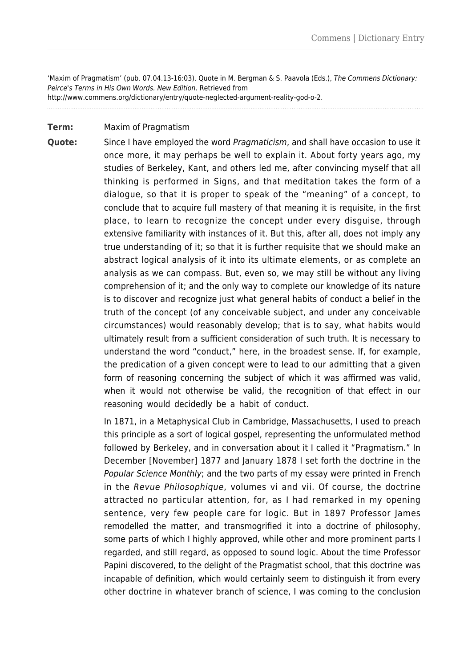'Maxim of Pragmatism' (pub. 07.04.13-16:03). Quote in M. Bergman & S. Paavola (Eds.), The Commens Dictionary: Peirce's Terms in His Own Words. New Edition. Retrieved from http://www.commens.org/dictionary/entry/quote-neglected-argument-reality-god-o-2.

## **Term:** Maxim of Pragmatism

**Quote:** Since I have employed the word Pragmaticism, and shall have occasion to use it once more, it may perhaps be well to explain it. About forty years ago, my studies of Berkeley, Kant, and others led me, after convincing myself that all thinking is performed in Signs, and that meditation takes the form of a dialogue, so that it is proper to speak of the "meaning" of a concept, to conclude that to acquire full mastery of that meaning it is requisite, in the first place, to learn to recognize the concept under every disguise, through extensive familiarity with instances of it. But this, after all, does not imply any true understanding of it; so that it is further requisite that we should make an abstract logical analysis of it into its ultimate elements, or as complete an analysis as we can compass. But, even so, we may still be without any living comprehension of it; and the only way to complete our knowledge of its nature is to discover and recognize just what general habits of conduct a belief in the truth of the concept (of any conceivable subject, and under any conceivable circumstances) would reasonably develop; that is to say, what habits would ultimately result from a sufficient consideration of such truth. It is necessary to understand the word "conduct," here, in the broadest sense. If, for example, the predication of a given concept were to lead to our admitting that a given form of reasoning concerning the subject of which it was affirmed was valid, when it would not otherwise be valid, the recognition of that effect in our reasoning would decidedly be a habit of conduct.

> In 1871, in a Metaphysical Club in Cambridge, Massachusetts, I used to preach this principle as a sort of logical gospel, representing the unformulated method followed by Berkeley, and in conversation about it I called it "Pragmatism." In December [November] 1877 and January 1878 I set forth the doctrine in the Popular Science Monthly; and the two parts of my essay were printed in French in the Revue Philosophique, volumes vi and vii. Of course, the doctrine attracted no particular attention, for, as I had remarked in my opening sentence, very few people care for logic. But in 1897 Professor James remodelled the matter, and transmogrified it into a doctrine of philosophy, some parts of which I highly approved, while other and more prominent parts I regarded, and still regard, as opposed to sound logic. About the time Professor Papini discovered, to the delight of the Pragmatist school, that this doctrine was incapable of definition, which would certainly seem to distinguish it from every other doctrine in whatever branch of science, I was coming to the conclusion